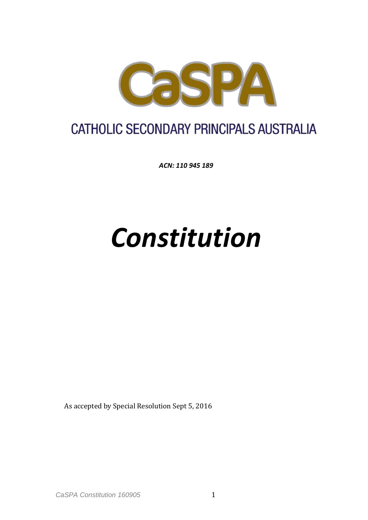

## **CATHOLIC SECONDARY PRINCIPALS AUSTRALIA**

*ACN: 110 945 189*

# *Constitution*

As accepted by Special Resolution Sept 5, 2016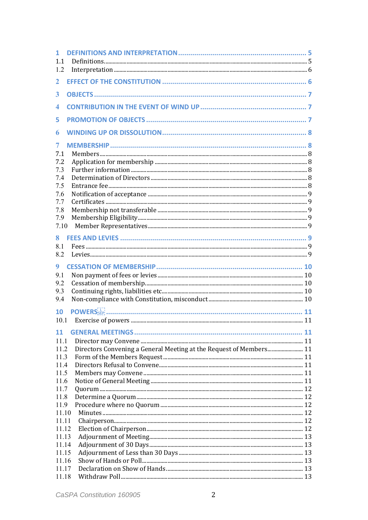| 1<br>1.1<br>1.2                                           |                                                                    |  |
|-----------------------------------------------------------|--------------------------------------------------------------------|--|
| $\mathbf{2}$                                              |                                                                    |  |
| 3                                                         |                                                                    |  |
| 4                                                         |                                                                    |  |
| 5.                                                        |                                                                    |  |
| 6                                                         |                                                                    |  |
| 7<br>7.1<br>7.2<br>7.3<br>7.4<br>7.5<br>7.6<br>7.7<br>7.8 |                                                                    |  |
| 7.9<br>7.10                                               |                                                                    |  |
| 8<br>8.1<br>8.2                                           |                                                                    |  |
| 9<br>9.1                                                  |                                                                    |  |
| 9.2                                                       |                                                                    |  |
| 9.3                                                       |                                                                    |  |
| 9.4                                                       |                                                                    |  |
| 10<br>10.1                                                | POWERS <sub>SEP</sub>                                              |  |
| <b>11</b>                                                 |                                                                    |  |
| 11.1                                                      |                                                                    |  |
| 11.2                                                      | Directors Convening a General Meeting at the Request of Members 11 |  |
| 11.3                                                      |                                                                    |  |
| 11.4                                                      |                                                                    |  |
| 11.5                                                      |                                                                    |  |
| 11.6<br>11.7                                              |                                                                    |  |
| 11.8                                                      |                                                                    |  |
| 11.9                                                      |                                                                    |  |
| 11.10                                                     |                                                                    |  |
| 11.11                                                     |                                                                    |  |
| 11.12                                                     |                                                                    |  |
| 11.13                                                     |                                                                    |  |
| 11.14                                                     |                                                                    |  |
| 11.15                                                     |                                                                    |  |
| 11.16                                                     |                                                                    |  |
| 11.17                                                     |                                                                    |  |
| 11.18                                                     |                                                                    |  |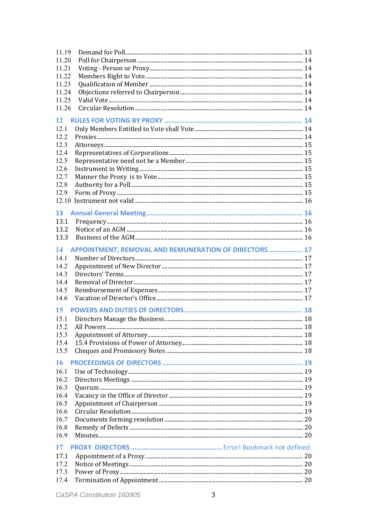| 11.19                                                       |  |
|-------------------------------------------------------------|--|
| 11.20                                                       |  |
| 11.21                                                       |  |
| 11.22                                                       |  |
| 11.23                                                       |  |
| 11.24                                                       |  |
| 11.25                                                       |  |
| 11.26                                                       |  |
|                                                             |  |
| 12                                                          |  |
| 12.1                                                        |  |
| 12.2                                                        |  |
| 12.3                                                        |  |
| 12.4                                                        |  |
| 12.5                                                        |  |
| 12.6                                                        |  |
| 12.7                                                        |  |
| 12.8                                                        |  |
| 12.9                                                        |  |
|                                                             |  |
| 13                                                          |  |
| 13.1                                                        |  |
|                                                             |  |
| 13.2<br>13.3                                                |  |
|                                                             |  |
| APPOINTMENT, REMOVAL AND REMUNERATION OF DIRECTORS 17<br>14 |  |
| 14.1                                                        |  |
| 14.2                                                        |  |
| 14.3                                                        |  |
| 14.4                                                        |  |
| 14.5                                                        |  |
| 14.6                                                        |  |
|                                                             |  |
| 15                                                          |  |
| 15.1                                                        |  |
|                                                             |  |
| 15.3                                                        |  |
| 15.4                                                        |  |
| 15.5                                                        |  |
| 16                                                          |  |
| 16.1                                                        |  |
| 16.2                                                        |  |
| 16.3                                                        |  |
| 16.4                                                        |  |
|                                                             |  |
| 16.5                                                        |  |
| 16.6                                                        |  |
| 16.7                                                        |  |
| 16.8                                                        |  |
| 16.9                                                        |  |
| 17                                                          |  |
| 17.1                                                        |  |
| 17.2                                                        |  |
| 17.3                                                        |  |
| 17.4                                                        |  |
|                                                             |  |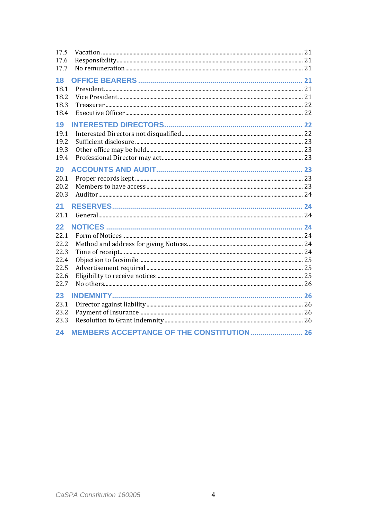| 17.5<br>17.6                                               |                                                  |  |
|------------------------------------------------------------|--------------------------------------------------|--|
| 17.7                                                       |                                                  |  |
| 18<br>18.1<br>18.2<br>18.3<br>18.4                         |                                                  |  |
| 19<br>19.1<br>19.2<br>19.3<br>19.4                         |                                                  |  |
| 20<br>20.1<br>20.2<br>20.3                                 |                                                  |  |
| 21<br>21.1                                                 |                                                  |  |
| 22<br>22.1<br>22.2<br>22.3<br>22.4<br>22.5<br>22.6<br>22.7 |                                                  |  |
| 23<br>23.1<br>23.2<br>23.3<br>24                           | <b>MEMBERS ACCEPTANCE OF THE CONSTITUTION 26</b> |  |
|                                                            |                                                  |  |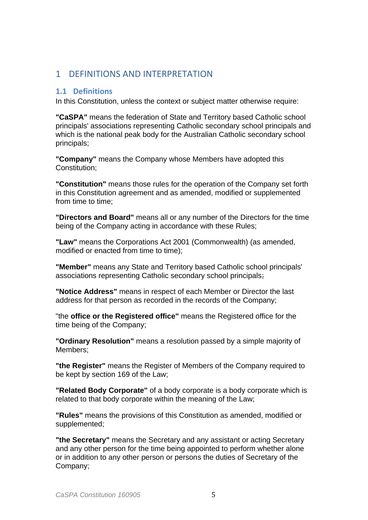### 1 DEFINITIONS AND INTERPRETATION

#### **1.1 Definitions**

In this Constitution, unless the context or subject matter otherwise require:

**"CaSPA"** means the federation of State and Territory based Catholic school principals' associations representing Catholic secondary school principals and which is the national peak body for the Australian Catholic secondary school principals;

**"Company"** means the Company whose Members have adopted this Constitution;

**"Constitution"** means those rules for the operation of the Company set forth in this Constitution agreement and as amended, modified or supplemented from time to time;

**"Directors and Board"** means all or any number of the Directors for the time being of the Company acting in accordance with these Rules;

**"Law"** means the Corporations Act 2001 (Commonwealth) (as amended, modified or enacted from time to time);

**"Member"** means any State and Territory based Catholic school principals' associations representing Catholic secondary school principals;

**"Notice Address"** means in respect of each Member or Director the last address for that person as recorded in the records of the Company;

"the **office or the Registered office"** means the Registered office for the time being of the Company;

**"Ordinary Resolution"** means a resolution passed by a simple majority of Members;

**"the Register"** means the Register of Members of the Company required to be kept by section 169 of the Law;

**"Related Body Corporate"** of a body corporate is a body corporate which is related to that body corporate within the meaning of the Law;

**"Rules"** means the provisions of this Constitution as amended, modified or supplemented;

**"the Secretary"** means the Secretary and any assistant or acting Secretary and any other person for the time being appointed to perform whether alone or in addition to any other person or persons the duties of Secretary of the Company;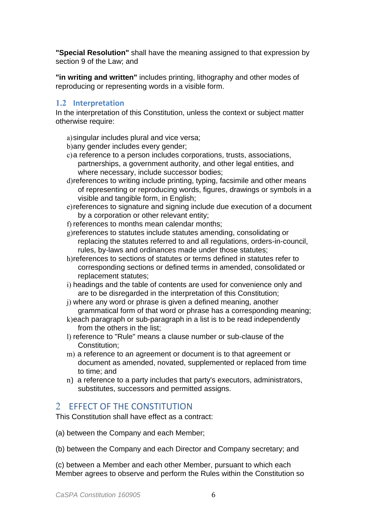**"Special Resolution"** shall have the meaning assigned to that expression by section 9 of the Law; and

**"in writing and written"** includes printing, lithography and other modes of reproducing or representing words in a visible form.

#### **1.2 Interpretation**

In the interpretation of this Constitution, unless the context or subject matter otherwise require:

- a)singular includes plural and vice versa;
- b)any gender includes every gender;
- c)a reference to a person includes corporations, trusts, associations, partnerships, a government authority, and other legal entities, and where necessary, include successor bodies;
- d)references to writing include printing, typing, facsimile and other means of representing or reproducing words, figures, drawings or symbols in a visible and tangible form, in English;
- e)references to signature and signing include due execution of a document by a corporation or other relevant entity;
- f) references to months mean calendar months;
- g)references to statutes include statutes amending, consolidating or replacing the statutes referred to and all regulations, orders-in-council, rules, by-laws and ordinances made under those statutes;
- h)references to sections of statutes or terms defined in statutes refer to corresponding sections or defined terms in amended, consolidated or replacement statutes;
- i) headings and the table of contents are used for convenience only and are to be disregarded in the interpretation of this Constitution;
- j) where any word or phrase is given a defined meaning, another grammatical form of that word or phrase has a corresponding meaning;
- k)each paragraph or sub-paragraph in a list is to be read independently from the others in the list;
- l) reference to "Rule" means a clause number or sub-clause of the Constitution;
- m) a reference to an agreement or document is to that agreement or document as amended, novated, supplemented or replaced from time to time; and
- n) a reference to a party includes that party's executors, administrators, substitutes, successors and permitted assigns.

## 2 EFFECT OF THE CONSTITUTION

This Constitution shall have effect as a contract:

- (a) between the Company and each Member;
- (b) between the Company and each Director and Company secretary; and

(c) between a Member and each other Member, pursuant to which each Member agrees to observe and perform the Rules within the Constitution so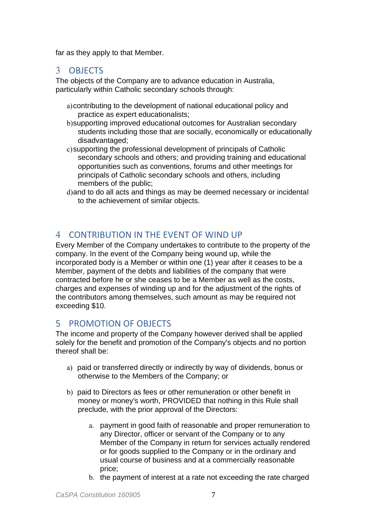far as they apply to that Member.

## 3 OBJECTS

The objects of the Company are to advance education in Australia, particularly within Catholic secondary schools through:

- a)contributing to the development of national educational policy and practice as expert educationalists;
- b)supporting improved educational outcomes for Australian secondary students including those that are socially, economically or educationally disadvantaged;
- c)supporting the professional development of principals of Catholic secondary schools and others; and providing training and educational opportunities such as conventions, forums and other meetings for principals of Catholic secondary schools and others, including members of the public;
- d)and to do all acts and things as may be deemed necessary or incidental to the achievement of similar objects.

## 4 CONTRIBUTION IN THE EVENT OF WIND UP

Every Member of the Company undertakes to contribute to the property of the company. In the event of the Company being wound up, while the incorporated body is a Member or within one (1) year after it ceases to be a Member, payment of the debts and liabilities of the company that were contracted before he or she ceases to be a Member as well as the costs, charges and expenses of winding up and for the adjustment of the rights of the contributors among themselves, such amount as may be required not exceeding \$10.

## 5 PROMOTION OF OBJECTS

The income and property of the Company however derived shall be applied solely for the benefit and promotion of the Company's objects and no portion thereof shall be:

- a) paid or transferred directly or indirectly by way of dividends, bonus or otherwise to the Members of the Company; or
- b) paid to Directors as fees or other remuneration or other benefit in money or money's worth, PROVIDED that nothing in this Rule shall preclude, with the prior approval of the Directors:
	- a. payment in good faith of reasonable and proper remuneration to any Director, officer or servant of the Company or to any Member of the Company in return for services actually rendered or for goods supplied to the Company or in the ordinary and usual course of business and at a commercially reasonable price;
	- b. the payment of interest at a rate not exceeding the rate charged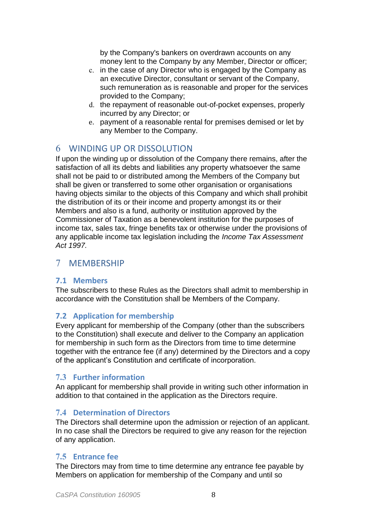by the Company's bankers on overdrawn accounts on any money lent to the Company by any Member, Director or officer;

- c. in the case of any Director who is engaged by the Company as an executive Director, consultant or servant of the Company, such remuneration as is reasonable and proper for the services provided to the Company;
- d. the repayment of reasonable out-of-pocket expenses, properly incurred by any Director; or
- e. payment of a reasonable rental for premises demised or let by any Member to the Company.

## 6 WINDING UP OR DISSOLUTION

If upon the winding up or dissolution of the Company there remains, after the satisfaction of all its debts and liabilities any property whatsoever the same shall not be paid to or distributed among the Members of the Company but shall be given or transferred to some other organisation or organisations having objects similar to the objects of this Company and which shall prohibit the distribution of its or their income and property amongst its or their Members and also is a fund, authority or institution approved by the Commissioner of Taxation as a benevolent institution for the purposes of income tax, sales tax, fringe benefits tax or otherwise under the provisions of any applicable income tax legislation including the *Income Tax Assessment Act 1997.* 

## 7 MEMBERSHIP

## **7.1 Members**

The subscribers to these Rules as the Directors shall admit to membership in accordance with the Constitution shall be Members of the Company.

## **7.2 Application for membership**

Every applicant for membership of the Company (other than the subscribers to the Constitution) shall execute and deliver to the Company an application for membership in such form as the Directors from time to time determine together with the entrance fee (if any) determined by the Directors and a copy of the applicant's Constitution and certificate of incorporation.

#### **7.3 Further information**

An applicant for membership shall provide in writing such other information in addition to that contained in the application as the Directors require.

## **7.4 Determination of Directors**

The Directors shall determine upon the admission or rejection of an applicant. In no case shall the Directors be required to give any reason for the rejection of any application.

## **7.5 Entrance fee**

The Directors may from time to time determine any entrance fee payable by Members on application for membership of the Company and until so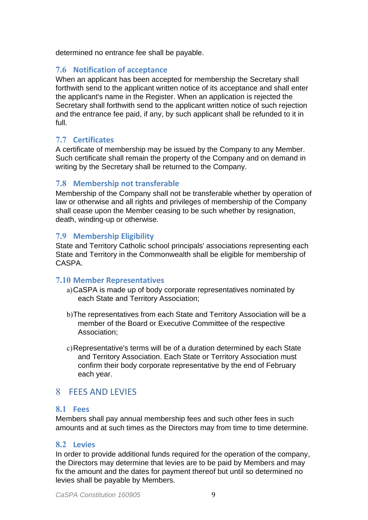determined no entrance fee shall be payable.

#### **7.6 Notification of acceptance**

When an applicant has been accepted for membership the Secretary shall forthwith send to the applicant written notice of its acceptance and shall enter the applicant's name in the Register. When an application is rejected the Secretary shall forthwith send to the applicant written notice of such rejection and the entrance fee paid, if any, by such applicant shall be refunded to it in full.

#### **7.7 Certificates**

A certificate of membership may be issued by the Company to any Member. Such certificate shall remain the property of the Company and on demand in writing by the Secretary shall be returned to the Company.

#### **7.8 Membership not transferable**

Membership of the Company shall not be transferable whether by operation of law or otherwise and all rights and privileges of membership of the Company shall cease upon the Member ceasing to be such whether by resignation, death, winding-up or otherwise.

#### **7.9 Membership Eligibility**

State and Territory Catholic school principals' associations representing each State and Territory in the Commonwealth shall be eligible for membership of CASPA.

#### **7.10 Member Representatives**

- a)CaSPA is made up of body corporate representatives nominated by each State and Territory Association;
- b)The representatives from each State and Territory Association will be a member of the Board or Executive Committee of the respective Association;
- c)Representative's terms will be of a duration determined by each State and Territory Association. Each State or Territory Association must confirm their body corporate representative by the end of February each year.

## 8 FEES AND LEVIES

#### **8.1 Fees**

Members shall pay annual membership fees and such other fees in such amounts and at such times as the Directors may from time to time determine.

#### **8.2 Levies**

In order to provide additional funds required for the operation of the company, the Directors may determine that levies are to be paid by Members and may fix the amount and the dates for payment thereof but until so determined no levies shall be payable by Members.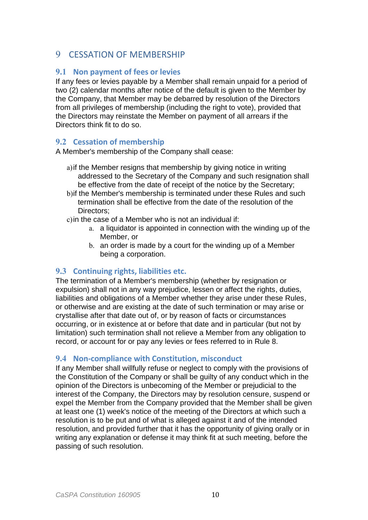## 9 CESSATION OF MEMBERSHIP

#### **9.1 Non payment of fees or levies**

If any fees or levies payable by a Member shall remain unpaid for a period of two (2) calendar months after notice of the default is given to the Member by the Company, that Member may be debarred by resolution of the Directors from all privileges of membership (including the right to vote), provided that the Directors may reinstate the Member on payment of all arrears if the Directors think fit to do so.

#### **9.2 Cessation of membership**

A Member's membership of the Company shall cease:

- a)if the Member resigns that membership by giving notice in writing addressed to the Secretary of the Company and such resignation shall be effective from the date of receipt of the notice by the Secretary;
- b)if the Member's membership is terminated under these Rules and such termination shall be effective from the date of the resolution of the Directors:
- c)in the case of a Member who is not an individual if:
	- a. a liquidator is appointed in connection with the winding up of the Member, or
	- b. an order is made by a court for the winding up of a Member being a corporation.

#### **9.3 Continuing rights, liabilities etc.**

The termination of a Member's membership (whether by resignation or expulsion) shall not in any way prejudice, lessen or affect the rights, duties, liabilities and obligations of a Member whether they arise under these Rules, or otherwise and are existing at the date of such termination or may arise or crystallise after that date out of, or by reason of facts or circumstances occurring, or in existence at or before that date and in particular (but not by limitation) such termination shall not relieve a Member from any obligation to record, or account for or pay any levies or fees referred to in Rule 8.

#### **9.4 Non-compliance with Constitution, misconduct**

If any Member shall willfully refuse or neglect to comply with the provisions of the Constitution of the Company or shall be guilty of any conduct which in the opinion of the Directors is unbecoming of the Member or prejudicial to the interest of the Company, the Directors may by resolution censure, suspend or expel the Member from the Company provided that the Member shall be given at least one (1) week's notice of the meeting of the Directors at which such a resolution is to be put and of what is alleged against it and of the intended resolution, and provided further that it has the opportunity of giving orally or in writing any explanation or defense it may think fit at such meeting, before the passing of such resolution.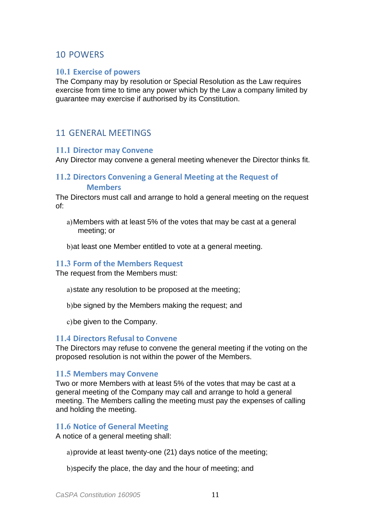## 10 POWERS

#### **10.1 Exercise of powers**

The Company may by resolution or Special Resolution as the Law requires exercise from time to time any power which by the Law a company limited by guarantee may exercise if authorised by its Constitution.

## 11 GENERAL MEETINGS

#### **11.1 Director may Convene**

Any Director may convene a general meeting whenever the Director thinks fit.

#### **11.2 Directors Convening a General Meeting at the Request of Members**

The Directors must call and arrange to hold a general meeting on the request of:

a)Members with at least 5% of the votes that may be cast at a general meeting; or

b)at least one Member entitled to vote at a general meeting.

#### **11.3 Form of the Members Request**

The request from the Members must:

a)state any resolution to be proposed at the meeting;

b)be signed by the Members making the request; and

c)be given to the Company.

#### **11.4 Directors Refusal to Convene**

The Directors may refuse to convene the general meeting if the voting on the proposed resolution is not within the power of the Members.

#### **11.5 Members may Convene**

Two or more Members with at least 5% of the votes that may be cast at a general meeting of the Company may call and arrange to hold a general meeting. The Members calling the meeting must pay the expenses of calling and holding the meeting.

#### **11.6 Notice of General Meeting**

A notice of a general meeting shall:

a)provide at least twenty-one (21) days notice of the meeting;

b)specify the place, the day and the hour of meeting; and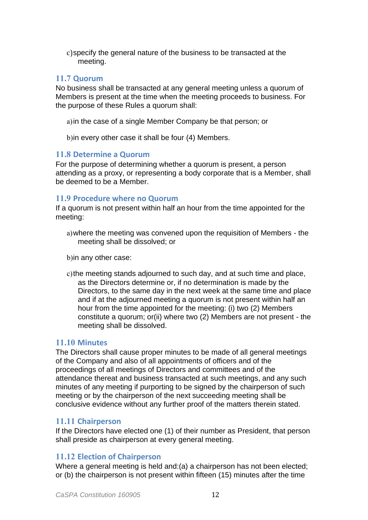c)specify the general nature of the business to be transacted at the meeting.

#### **11.7 Quorum**

No business shall be transacted at any general meeting unless a quorum of Members is present at the time when the meeting proceeds to business. For the purpose of these Rules a quorum shall:

- a)in the case of a single Member Company be that person; or
- b)in every other case it shall be four (4) Members.

#### **11.8 Determine a Quorum**

For the purpose of determining whether a quorum is present, a person attending as a proxy, or representing a body corporate that is a Member, shall be deemed to be a Member.

#### **11.9 Procedure where no Quorum**

If a quorum is not present within half an hour from the time appointed for the meeting:

a)where the meeting was convened upon the requisition of Members - the meeting shall be dissolved; or

b)in any other case:

c)the meeting stands adjourned to such day, and at such time and place, as the Directors determine or, if no determination is made by the Directors, to the same day in the next week at the same time and place and if at the adjourned meeting a quorum is not present within half an hour from the time appointed for the meeting: (i) two (2) Members constitute a quorum; or(ii) where two (2) Members are not present - the meeting shall be dissolved.

#### **11.10 Minutes**

The Directors shall cause proper minutes to be made of all general meetings of the Company and also of all appointments of officers and of the proceedings of all meetings of Directors and committees and of the attendance thereat and business transacted at such meetings, and any such minutes of any meeting if purporting to be signed by the chairperson of such meeting or by the chairperson of the next succeeding meeting shall be conclusive evidence without any further proof of the matters therein stated.

#### **11.11 Chairperson**

If the Directors have elected one (1) of their number as President, that person shall preside as chairperson at every general meeting.

#### **11.12 Election of Chairperson**

Where a general meeting is held and:(a) a chairperson has not been elected; or (b) the chairperson is not present within fifteen (15) minutes after the time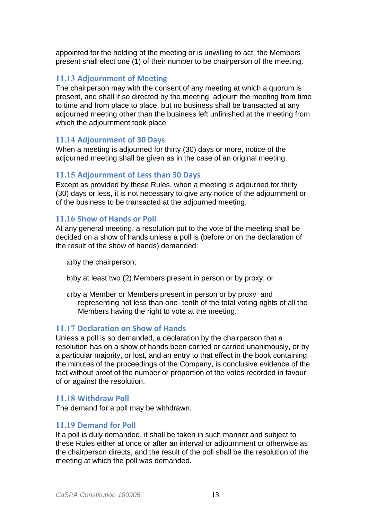appointed for the holding of the meeting or is unwilling to act, the Members present shall elect one (1) of their number to be chairperson of the meeting.

#### **11.13 Adjournment of Meeting**

The chairperson may with the consent of any meeting at which a quorum is present, and shall if so directed by the meeting, adjourn the meeting from time to time and from place to place, but no business shall be transacted at any adjourned meeting other than the business left unfinished at the meeting from which the adjournment took place,

#### **11.14 Adjournment of 30 Days**

When a meeting is adjourned for thirty (30) days or more, notice of the adjourned meeting shall be given as in the case of an original meeting.

#### **11.15 Adjournment of Less than 30 Days**

Except as provided by these Rules, when a meeting is adjourned for thirty (30) days or less, it is not necessary to give any notice of the adjournment or of the business to be transacted at the adjourned meeting.

#### **11.16 Show of Hands or Poll**

At any general meeting, a resolution put to the vote of the meeting shall be decided on a show of hands unless a poll is (before or on the declaration of the result of the show of hands) demanded:

- a)by the chairperson;
- b)by at least two (2) Members present in person or by proxy; or
- c)by a Member or Members present in person or by proxy and representing not less than one- tenth of the total voting rights of all the Members having the right to vote at the meeting.

#### **11.17 Declaration on Show of Hands**

Unless a poll is so demanded, a declaration by the chairperson that a resolution has on a show of hands been carried or carried unanimously, or by a particular majority, or lost, and an entry to that effect in the book containing the minutes of the proceedings of the Company, is conclusive evidence of the fact without proof of the number or proportion of the votes recorded in favour of or against the resolution.

#### **11.18 Withdraw Poll**

The demand for a poll may be withdrawn.

#### **11.19 Demand for Poll**

If a poll is duly demanded, it shall be taken in such manner and subject to these Rules either at once or after an interval or adjournment or otherwise as the chairperson directs, and the result of the poll shall be the resolution of the meeting at which the poll was demanded.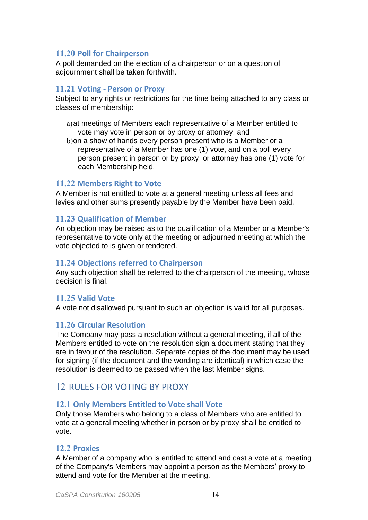#### **11.20 Poll for Chairperson**

A poll demanded on the election of a chairperson or on a question of adjournment shall be taken forthwith.

#### **11.21 Voting - Person or Proxy**

Subject to any rights or restrictions for the time being attached to any class or classes of membership:

- a)at meetings of Members each representative of a Member entitled to vote may vote in person or by proxy or attorney; and
- b)on a show of hands every person present who is a Member or a representative of a Member has one (1) vote, and on a poll every person present in person or by proxy or attorney has one (1) vote for each Membership held.

#### **11.22 Members Right to Vote**

A Member is not entitled to vote at a general meeting unless all fees and levies and other sums presently payable by the Member have been paid.

#### **11.23 Qualification of Member**

An objection may be raised as to the qualification of a Member or a Member's representative to vote only at the meeting or adjourned meeting at which the vote objected to is given or tendered.

#### **11.24 Objections referred to Chairperson**

Any such objection shall be referred to the chairperson of the meeting, whose decision is final.

#### **11.25 Valid Vote**

A vote not disallowed pursuant to such an objection is valid for all purposes.

#### **11.26 Circular Resolution**

The Company may pass a resolution without a general meeting, if all of the Members entitled to vote on the resolution sign a document stating that they are in favour of the resolution. Separate copies of the document may be used for signing (if the document and the wording are identical) in which case the resolution is deemed to be passed when the last Member signs.

## 12 RULES FOR VOTING BY PROXY

#### **12.1 Only Members Entitled to Vote shall Vote**

Only those Members who belong to a class of Members who are entitled to vote at a general meeting whether in person or by proxy shall be entitled to vote.

#### **12.2 Proxies**

A Member of a company who is entitled to attend and cast a vote at a meeting of the Company's Members may appoint a person as the Members' proxy to attend and vote for the Member at the meeting.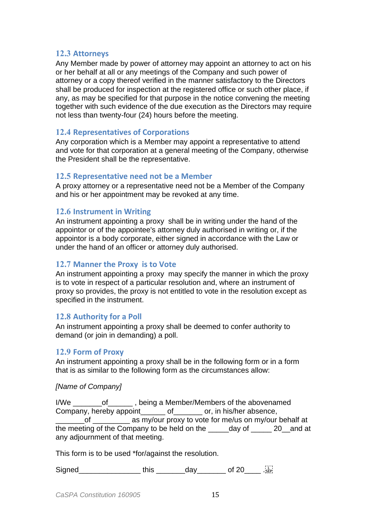#### **12.3 Attorneys**

Any Member made by power of attorney may appoint an attorney to act on his or her behalf at all or any meetings of the Company and such power of attorney or a copy thereof verified in the manner satisfactory to the Directors shall be produced for inspection at the registered office or such other place, if any, as may be specified for that purpose in the notice convening the meeting together with such evidence of the due execution as the Directors may require not less than twenty-four (24) hours before the meeting.

#### **12.4 Representatives of Corporations**

Any corporation which is a Member may appoint a representative to attend and vote for that corporation at a general meeting of the Company, otherwise the President shall be the representative.

#### **12.5 Representative need not be a Member**

A proxy attorney or a representative need not be a Member of the Company and his or her appointment may be revoked at any time.

#### **12.6 Instrument in Writing**

An instrument appointing a proxy shall be in writing under the hand of the appointor or of the appointee's attorney duly authorised in writing or, if the appointor is a body corporate, either signed in accordance with the Law or under the hand of an officer or attorney duly authorised.

#### **12.7 Manner the Proxy is to Vote**

An instrument appointing a proxy may specify the manner in which the proxy is to vote in respect of a particular resolution and, where an instrument of proxy so provides, the proxy is not entitled to vote in the resolution except as specified in the instrument.

#### **12.8 Authority for a Poll**

An instrument appointing a proxy shall be deemed to confer authority to demand (or join in demanding) a poll.

#### **12.9 Form of Proxy**

An instrument appointing a proxy shall be in the following form or in a form that is as similar to the following form as the circumstances allow:

#### *[Name of Company]*

I/We \_\_\_\_\_\_\_of\_\_\_\_\_\_ , being a Member/Members of the abovenamed Company, hereby appoint\_\_\_\_\_\_ of\_\_\_\_\_\_\_ or, in his/her absence, \_\_\_\_\_\_\_of \_\_\_\_\_\_\_\_\_ as my/our proxy to vote for me/us on my/our behalf at the meeting of the Company to be held on the day of 20 and at any adjournment of that meeting.

This form is to be used \*for/against the resolution.

Signed\_\_\_\_\_\_\_\_\_\_\_\_\_\_\_\_\_\_\_\_\_\_ this \_\_\_\_\_\_\_\_\_\_\_ day\_\_\_\_\_\_\_\_\_\_ of 20\_\_\_\_\_\_. . SEP!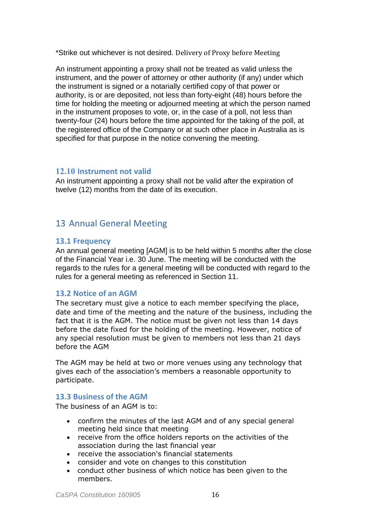\*Strike out whichever is not desired. Delivery of Proxy before Meeting

An instrument appointing a proxy shall not be treated as valid unless the instrument, and the power of attorney or other authority (if any) under which the instrument is signed or a notarially certified copy of that power or authority, is or are deposited, not less than forty-eight (48) hours before the time for holding the meeting or adjourned meeting at which the person named in the instrument proposes to vote, or, in the case of a poll, not less than twenty-four (24) hours before the time appointed for the taking of the poll, at the registered office of the Company or at such other place in Australia as is specified for that purpose in the notice convening the meeting.

#### **12.10 Instrument not valid**

An instrument appointing a proxy shall not be valid after the expiration of twelve (12) months from the date of its execution.

## 13 Annual General Meeting

#### **13.1 Frequency**

An annual general meeting [AGM] is to be held within 5 months after the close of the Financial Year i.e. 30 June. The meeting will be conducted with the regards to the rules for a general meeting will be conducted with regard to the rules for a general meeting as referenced in Section 11.

#### **13.2 Notice of an AGM**

The secretary must give a notice to each member specifying the place, date and time of the meeting and the nature of the business, including the fact that it is the AGM. The notice must be given not less than 14 days before the date fixed for the holding of the meeting. However, notice of any special resolution must be given to members not less than 21 days before the AGM

The AGM may be held at two or more venues using any technology that gives each of the association's members a reasonable opportunity to participate.

#### **13.3 Business of the AGM**

The business of an AGM is to:

- confirm the minutes of the last AGM and of any special general meeting held since that meeting
- receive from the office holders reports on the activities of the association during the last financial year
- receive the association's financial statements
- consider and vote on changes to this constitution
- conduct other business of which notice has been given to the members.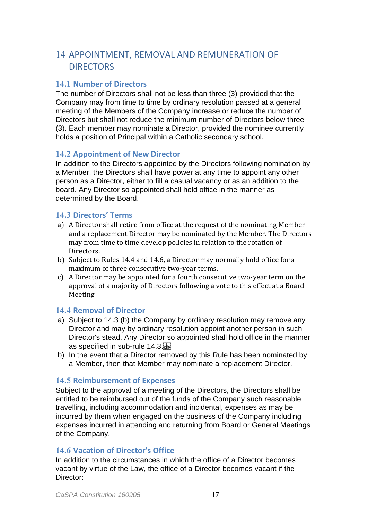## 14 APPOINTMENT, REMOVAL AND REMUNERATION OF DIRECTORS

#### **14.1 Number of Directors**

The number of Directors shall not be less than three (3) provided that the Company may from time to time by ordinary resolution passed at a general meeting of the Members of the Company increase or reduce the number of Directors but shall not reduce the minimum number of Directors below three (3). Each member may nominate a Director, provided the nominee currently holds a position of Principal within a Catholic secondary school.

#### **14.2 Appointment of New Director**

In addition to the Directors appointed by the Directors following nomination by a Member, the Directors shall have power at any time to appoint any other person as a Director, either to fill a casual vacancy or as an addition to the board. Any Director so appointed shall hold office in the manner as determined by the Board.

#### **14.3 Directors' Terms**

- a) A Director shall retire from office at the request of the nominating Member and a replacement Director may be nominated by the Member. The Directors may from time to time develop policies in relation to the rotation of Directors.
- b) Subject to Rules 14.4 and 14.6, a Director may normally hold office for a maximum of three consecutive two-year terms.
- c) A Director may be appointed for a fourth consecutive two-year term on the approval of a majority of Directors following a vote to this effect at a Board Meeting

#### **14.4 Removal of Director**

- a) Subject to 14.3 (b) the Company by ordinary resolution may remove any Director and may by ordinary resolution appoint another person in such Director's stead. Any Director so appointed shall hold office in the manner as specified in sub-rule 14.3.
- b) In the event that a Director removed by this Rule has been nominated by a Member, then that Member may nominate a replacement Director.

#### **14.5 Reimbursement of Expenses**

Subject to the approval of a meeting of the Directors, the Directors shall be entitled to be reimbursed out of the funds of the Company such reasonable travelling, including accommodation and incidental, expenses as may be incurred by them when engaged on the business of the Company including expenses incurred in attending and returning from Board or General Meetings of the Company.

#### **14.6 Vacation of Director's Office**

In addition to the circumstances in which the office of a Director becomes vacant by virtue of the Law, the office of a Director becomes vacant if the Director: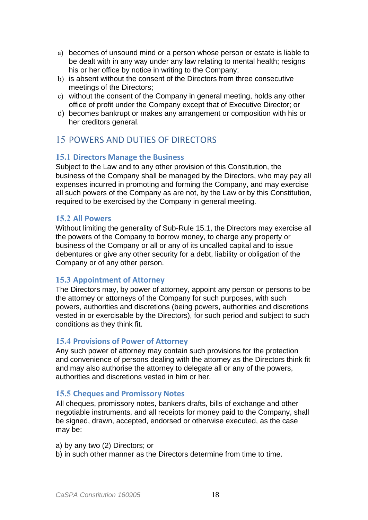- a) becomes of unsound mind or a person whose person or estate is liable to be dealt with in any way under any law relating to mental health; resigns his or her office by notice in writing to the Company;
- b) is absent without the consent of the Directors from three consecutive meetings of the Directors;
- c) without the consent of the Company in general meeting, holds any other office of profit under the Company except that of Executive Director; or
- d) becomes bankrupt or makes any arrangement or composition with his or her creditors general.

## 15 POWERS AND DUTIES OF DIRECTORS

#### **15.1 Directors Manage the Business**

Subject to the Law and to any other provision of this Constitution, the business of the Company shall be managed by the Directors, who may pay all expenses incurred in promoting and forming the Company, and may exercise all such powers of the Company as are not, by the Law or by this Constitution, required to be exercised by the Company in general meeting.

#### **15.2 All Powers**

Without limiting the generality of Sub-Rule 15.1, the Directors may exercise all the powers of the Company to borrow money, to charge any property or business of the Company or all or any of its uncalled capital and to issue debentures or give any other security for a debt, liability or obligation of the Company or of any other person.

#### **15.3 Appointment of Attorney**

The Directors may, by power of attorney, appoint any person or persons to be the attorney or attorneys of the Company for such purposes, with such powers, authorities and discretions (being powers, authorities and discretions vested in or exercisable by the Directors), for such period and subject to such conditions as they think fit.

#### **15.4 Provisions of Power of Attorney**

Any such power of attorney may contain such provisions for the protection and convenience of persons dealing with the attorney as the Directors think fit and may also authorise the attorney to delegate all or any of the powers, authorities and discretions vested in him or her.

#### **15.5 Cheques and Promissory Notes**

All cheques, promissory notes, bankers drafts, bills of exchange and other negotiable instruments, and all receipts for money paid to the Company, shall be signed, drawn, accepted, endorsed or otherwise executed, as the case may be:

a) by any two (2) Directors; or

b) in such other manner as the Directors determine from time to time.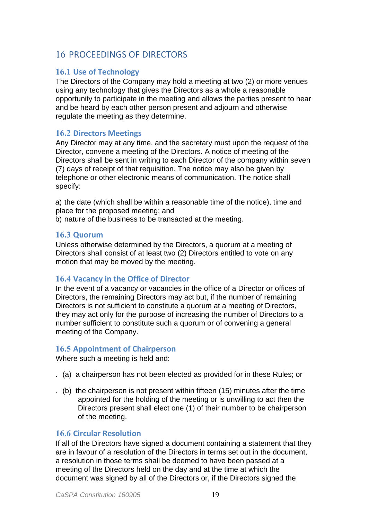## 16 PROCEEDINGS OF DIRECTORS

#### **16.1 Use of Technology**

The Directors of the Company may hold a meeting at two (2) or more venues using any technology that gives the Directors as a whole a reasonable opportunity to participate in the meeting and allows the parties present to hear and be heard by each other person present and adjourn and otherwise regulate the meeting as they determine.

#### **16.2 Directors Meetings**

Any Director may at any time, and the secretary must upon the request of the Director, convene a meeting of the Directors. A notice of meeting of the Directors shall be sent in writing to each Director of the company within seven (7) days of receipt of that requisition. The notice may also be given by telephone or other electronic means of communication. The notice shall specify:

a) the date (which shall be within a reasonable time of the notice), time and place for the proposed meeting; and

b) nature of the business to be transacted at the meeting.

#### **16.3 Quorum**

Unless otherwise determined by the Directors, a quorum at a meeting of Directors shall consist of at least two (2) Directors entitled to vote on any motion that may be moved by the meeting.

#### **16.4 Vacancy in the Office of Director**

In the event of a vacancy or vacancies in the office of a Director or offices of Directors, the remaining Directors may act but, if the number of remaining Directors is not sufficient to constitute a quorum at a meeting of Directors, they may act only for the purpose of increasing the number of Directors to a number sufficient to constitute such a quorum or of convening a general meeting of the Company.

#### **16.5 Appointment of Chairperson**

Where such a meeting is held and:

- . (a) a chairperson has not been elected as provided for in these Rules; or
- . (b) the chairperson is not present within fifteen (15) minutes after the time appointed for the holding of the meeting or is unwilling to act then the Directors present shall elect one (1) of their number to be chairperson of the meeting.

#### **16.6 Circular Resolution**

If all of the Directors have signed a document containing a statement that they are in favour of a resolution of the Directors in terms set out in the document, a resolution in those terms shall be deemed to have been passed at a meeting of the Directors held on the day and at the time at which the document was signed by all of the Directors or, if the Directors signed the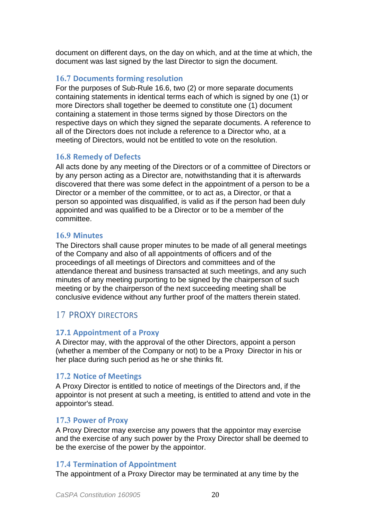document on different days, on the day on which, and at the time at which, the document was last signed by the last Director to sign the document.

#### **16.7 Documents forming resolution**

For the purposes of Sub-Rule 16.6, two (2) or more separate documents containing statements in identical terms each of which is signed by one (1) or more Directors shall together be deemed to constitute one (1) document containing a statement in those terms signed by those Directors on the respective days on which they signed the separate documents. A reference to all of the Directors does not include a reference to a Director who, at a meeting of Directors, would not be entitled to vote on the resolution.

#### **16.8 Remedy of Defects**

All acts done by any meeting of the Directors or of a committee of Directors or by any person acting as a Director are, notwithstanding that it is afterwards discovered that there was some defect in the appointment of a person to be a Director or a member of the committee, or to act as, a Director, or that a person so appointed was disqualified, is valid as if the person had been duly appointed and was qualified to be a Director or to be a member of the committee.

#### **16.9 Minutes**

The Directors shall cause proper minutes to be made of all general meetings of the Company and also of all appointments of officers and of the proceedings of all meetings of Directors and committees and of the attendance thereat and business transacted at such meetings, and any such minutes of any meeting purporting to be signed by the chairperson of such meeting or by the chairperson of the next succeeding meeting shall be conclusive evidence without any further proof of the matters therein stated.

#### 17 PROXY DIRECTORS

#### **17.1 Appointment of a Proxy**

A Director may, with the approval of the other Directors, appoint a person (whether a member of the Company or not) to be a Proxy Director in his or her place during such period as he or she thinks fit.

#### **17.2 Notice of Meetings**

A Proxy Director is entitled to notice of meetings of the Directors and, if the appointor is not present at such a meeting, is entitled to attend and vote in the appointor's stead.

#### **17.3 Power of Proxy**

A Proxy Director may exercise any powers that the appointor may exercise and the exercise of any such power by the Proxy Director shall be deemed to be the exercise of the power by the appointor.

#### **17.4 Termination of Appointment**

The appointment of a Proxy Director may be terminated at any time by the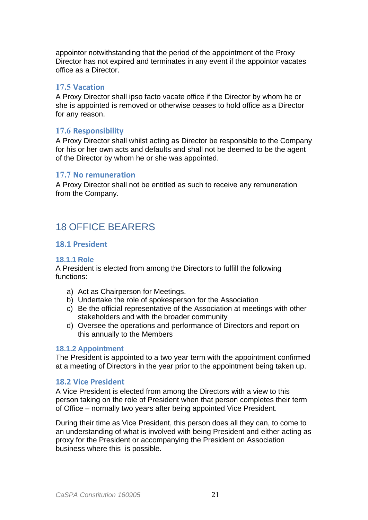appointor notwithstanding that the period of the appointment of the Proxy Director has not expired and terminates in any event if the appointor vacates office as a Director.

#### **17.5 Vacation**

A Proxy Director shall ipso facto vacate office if the Director by whom he or she is appointed is removed or otherwise ceases to hold office as a Director for any reason.

#### **17.6 Responsibility**

A Proxy Director shall whilst acting as Director be responsible to the Company for his or her own acts and defaults and shall not be deemed to be the agent of the Director by whom he or she was appointed.

#### **17.7 No remuneration**

A Proxy Director shall not be entitled as such to receive any remuneration from the Company.

## 18 OFFICE BEARERS

#### **18.1 President**

#### **18.1.1 Role**

A President is elected from among the Directors to fulfill the following functions:

- a) Act as Chairperson for Meetings.
- b) Undertake the role of spokesperson for the Association
- c) Be the official representative of the Association at meetings with other stakeholders and with the broader community
- d) Oversee the operations and performance of Directors and report on this annually to the Members

#### **18.1.2 Appointment**

The President is appointed to a two year term with the appointment confirmed at a meeting of Directors in the year prior to the appointment being taken up.

#### **18.2 Vice President**

A Vice President is elected from among the Directors with a view to this person taking on the role of President when that person completes their term of Office – normally two years after being appointed Vice President.

During their time as Vice President, this person does all they can, to come to an understanding of what is involved with being President and either acting as proxy for the President or accompanying the President on Association business where this is possible.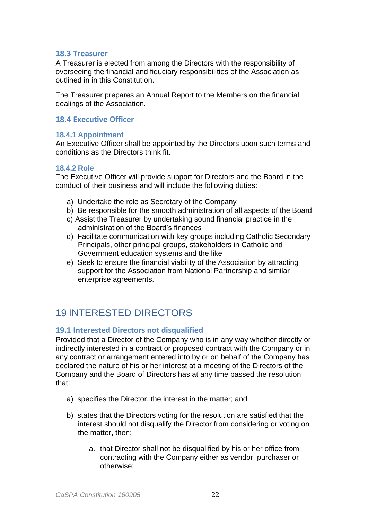#### **18.3 Treasurer**

A Treasurer is elected from among the Directors with the responsibility of overseeing the financial and fiduciary responsibilities of the Association as outlined in in this Constitution.

The Treasurer prepares an Annual Report to the Members on the financial dealings of the Association.

#### **18.4 Executive Officer**

#### **18.4.1 Appointment**

An Executive Officer shall be appointed by the Directors upon such terms and conditions as the Directors think fit.

#### **18.4.2 Role**

The Executive Officer will provide support for Directors and the Board in the conduct of their business and will include the following duties:

- a) Undertake the role as Secretary of the Company
- b) Be responsible for the smooth administration of all aspects of the Board
- c) Assist the Treasurer by undertaking sound financial practice in the administration of the Board's finances
- d) Facilitate communication with key groups including Catholic Secondary Principals, other principal groups, stakeholders in Catholic and Government education systems and the like
- e) Seek to ensure the financial viability of the Association by attracting support for the Association from National Partnership and similar enterprise agreements.

## 19 INTERESTED DIRECTORS

#### **19.1 Interested Directors not disqualified**

Provided that a Director of the Company who is in any way whether directly or indirectly interested in a contract or proposed contract with the Company or in any contract or arrangement entered into by or on behalf of the Company has declared the nature of his or her interest at a meeting of the Directors of the Company and the Board of Directors has at any time passed the resolution that:

- a) specifies the Director, the interest in the matter; and
- b) states that the Directors voting for the resolution are satisfied that the interest should not disqualify the Director from considering or voting on the matter, then:
	- a. that Director shall not be disqualified by his or her office from contracting with the Company either as vendor, purchaser or otherwise;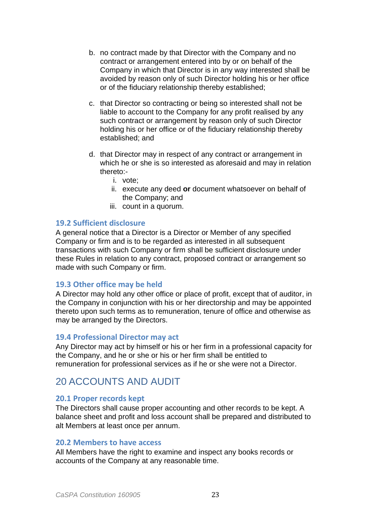- b. no contract made by that Director with the Company and no contract or arrangement entered into by or on behalf of the Company in which that Director is in any way interested shall be avoided by reason only of such Director holding his or her office or of the fiduciary relationship thereby established;
- c. that Director so contracting or being so interested shall not be liable to account to the Company for any profit realised by any such contract or arrangement by reason only of such Director holding his or her office or of the fiduciary relationship thereby established; and
- d. that Director may in respect of any contract or arrangement in which he or she is so interested as aforesaid and may in relation thereto:
	- i. vote;
	- ii. execute any deed **or** document whatsoever on behalf of the Company; and
	- iii. count in a quorum.

#### **19.2 Sufficient disclosure**

A general notice that a Director is a Director or Member of any specified Company or firm and is to be regarded as interested in all subsequent transactions with such Company or firm shall be sufficient disclosure under these Rules in relation to any contract, proposed contract or arrangement so made with such Company or firm.

#### **19.3 Other office may be held**

A Director may hold any other office or place of profit, except that of auditor, in the Company in conjunction with his or her directorship and may be appointed thereto upon such terms as to remuneration, tenure of office and otherwise as may be arranged by the Directors.

#### **19.4 Professional Director may act**

Any Director may act by himself or his or her firm in a professional capacity for the Company, and he or she or his or her firm shall be entitled to remuneration for professional services as if he or she were not a Director.

## 20 ACCOUNTS AND AUDIT

#### **20.1 Proper records kept**

The Directors shall cause proper accounting and other records to be kept. A balance sheet and profit and loss account shall be prepared and distributed to alt Members at least once per annum.

#### **20.2 Members to have access**

All Members have the right to examine and inspect any books records or accounts of the Company at any reasonable time.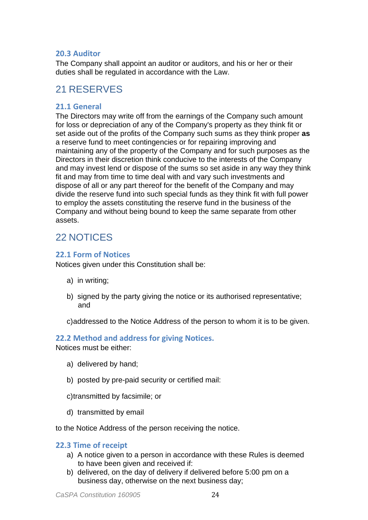#### **20.3 Auditor**

The Company shall appoint an auditor or auditors, and his or her or their duties shall be regulated in accordance with the Law.

## 21 RESERVES

#### **21.1 General**

The Directors may write off from the earnings of the Company such amount for loss or depreciation of any of the Company's property as they think fit or set aside out of the profits of the Company such sums as they think proper **as**  a reserve fund to meet contingencies or for repairing improving and maintaining any of the property of the Company and for such purposes as the Directors in their discretion think conducive to the interests of the Company and may invest lend or dispose of the sums so set aside in any way they think fit and may from time to time deal with and vary such investments and dispose of all or any part thereof for the benefit of the Company and may divide the reserve fund into such special funds as they think fit with full power to employ the assets constituting the reserve fund in the business of the Company and without being bound to keep the same separate from other assets.

## 22 NOTICES

#### **22.1 Form of Notices**

Notices given under this Constitution shall be:

- a) in writing;
- b) signed by the party giving the notice or its authorised representative; and
- c)addressed to the Notice Address of the person to whom it is to be given.

#### **22.2 Method and address for giving Notices.**

Notices must be either:

- a) delivered by hand;
- b) posted by pre-paid security or certified mail:
- c)transmitted by facsimile; or
- d) transmitted by email

to the Notice Address of the person receiving the notice.

#### **22.3 Time of receipt**

- a) A notice given to a person in accordance with these Rules is deemed to have been given and received if:
- b) delivered, on the day of delivery if delivered before 5:00 pm on a business day, otherwise on the next business day;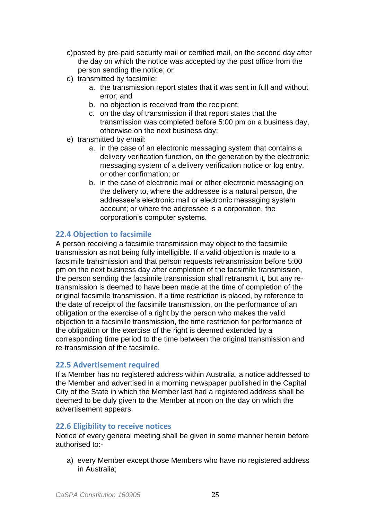- c)posted by pre-paid security mail or certified mail, on the second day after the day on which the notice was accepted by the post office from the person sending the notice; or
- d) transmitted by facsimile:
	- a. the transmission report states that it was sent in full and without error; and
	- b. no objection is received from the recipient;
	- c. on the day of transmission if that report states that the transmission was completed before 5:00 pm on a business day, otherwise on the next business day;
- e) transmitted by email:
	- a. in the case of an electronic messaging system that contains a delivery verification function, on the generation by the electronic messaging system of a delivery verification notice or log entry, or other confirmation; or
	- b. in the case of electronic mail or other electronic messaging on the delivery to, where the addressee is a natural person, the addressee's electronic mail or electronic messaging system account; or where the addressee is a corporation, the corporation's computer systems.

#### **22.4 Objection to facsimile**

A person receiving a facsimile transmission may object to the facsimile transmission as not being fully intelligible. If a valid objection is made to a facsimile transmission and that person requests retransmission before 5:00 pm on the next business day after completion of the facsimile transmission, the person sending the facsimile transmission shall retransmit it, but any retransmission is deemed to have been made at the time of completion of the original facsimile transmission. If a time restriction is placed, by reference to the date of receipt of the facsimile transmission, on the performance of an obligation or the exercise of a right by the person who makes the valid objection to a facsimile transmission, the time restriction for performance of the obligation or the exercise of the right is deemed extended by a corresponding time period to the time between the original transmission and re-transmission of the facsimile.

#### **22.5 Advertisement required**

If a Member has no registered address within Australia, a notice addressed to the Member and advertised in a morning newspaper published in the Capital City of the State in which the Member last had a registered address shall be deemed to be duly given to the Member at noon on the day on which the advertisement appears.

#### **22.6 Eligibility to receive notices**

Notice of every general meeting shall be given in some manner herein before authorised to:-

a) every Member except those Members who have no registered address in Australia;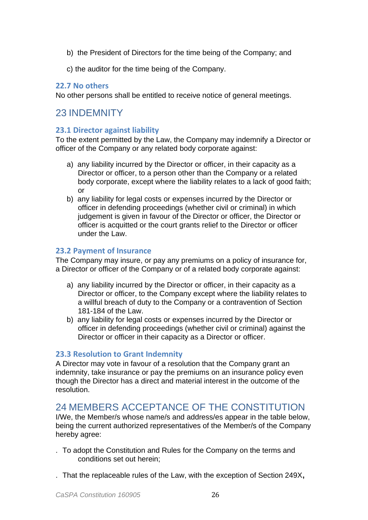- b) the President of Directors for the time being of the Company; and
- c) the auditor for the time being of the Company.

#### **22.7 No others**

No other persons shall be entitled to receive notice of general meetings.

## 23 INDEMNITY

#### **23.1 Director against liability**

To the extent permitted by the Law, the Company may indemnify a Director or officer of the Company or any related body corporate against:

- a) any liability incurred by the Director or officer, in their capacity as a Director or officer, to a person other than the Company or a related body corporate, except where the liability relates to a lack of good faith; or
- b) any liability for legal costs or expenses incurred by the Director or officer in defending proceedings (whether civil or criminal) in which judgement is given in favour of the Director or officer, the Director or officer is acquitted or the court grants relief to the Director or officer under the Law.

#### **23.2 Payment of Insurance**

The Company may insure, or pay any premiums on a policy of insurance for, a Director or officer of the Company or of a related body corporate against:

- a) any liability incurred by the Director or officer, in their capacity as a Director or officer, to the Company except where the liability relates to a willful breach of duty to the Company or a contravention of Section 181-184 of the Law.
- b) any liability for legal costs or expenses incurred by the Director or officer in defending proceedings (whether civil or criminal) against the Director or officer in their capacity as a Director or officer.

#### **23.3 Resolution to Grant Indemnity**

A Director may vote in favour of a resolution that the Company grant an indemnity, take insurance or pay the premiums on an insurance policy even though the Director has a direct and material interest in the outcome of the resolution.

## 24 MEMBERS ACCEPTANCE OF THE CONSTITUTION

I/We, the Member/s whose name/s and address/es appear in the table below, being the current authorized representatives of the Member/s of the Company hereby agree:

- . To adopt the Constitution and Rules for the Company on the terms and conditions set out herein;
- . That the replaceable rules of the Law, with the exception of Section 249X**,**